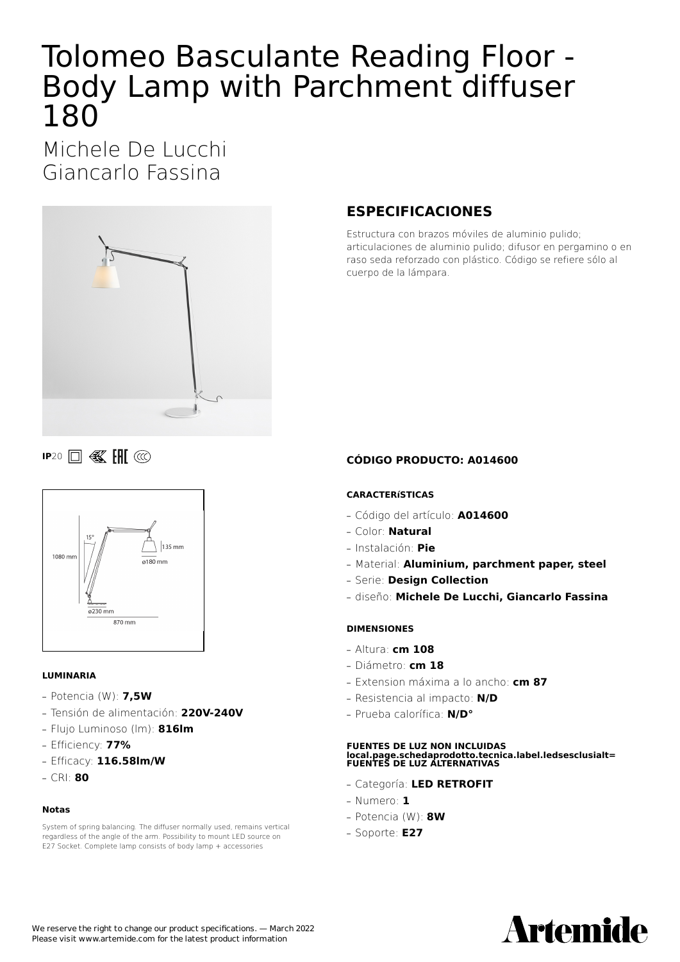# Tolomeo Basculante Reading Floor - Body Lamp with Parchment diffuser 180

Michele De Lucchi Giancarlo Fassina



**IP20 III** *W* **III** *CC* 



#### **LUMINARIA**

- **—** Potencia (W): **7,5W**
- **—** Tensión de alimentación: **220V-240V**
- **—** Flujo Luminoso (lm): **816lm**
- **—** Efficiency: **77%**
- **—** Efficacy: **116.58lm/W**
- **—** CRI: **80**

#### **Notas**

System of spring balancing. The diffuser normally used, remains vertical regardless of the angle of the arm. Possibility to mount LED source on E27 Socket. Complete lamp consists of body lamp + accessories

## **ESPECIFICACIONES**

Estructura con brazos móviles de aluminio pulido; articulaciones de aluminio pulido; difusor en pergamino o en raso seda reforzado con plástico. Código se refiere sólo al cuerpo de la lámpara.

#### **CÓDIGO PRODUCTO: A014600**

#### **CARACTERíSTICAS**

- **—** Código del artículo: **A014600**
- **—** Color: **Natural**
- **—** Instalación: **Pie**
- **—** Material: **Aluminium, parchment paper, steel**
- **—** Serie: **Design Collection**
- **—** diseño: **Michele De Lucchi, Giancarlo Fassina**

#### **DIMENSIONES**

- **—** Altura: **cm 108**
- **—** Diámetro: **cm 18**
- **—** Extension máxima a lo ancho: **cm 87**
- **—** Resistencia al impacto: **N/D**
- **—** Prueba calorífica: **N/D°**

### **FUENTES DE LUZ NON INCLUIDAS local.page.schedaprodotto.tecnica.label.ledsesclusialt= FUENTES DE LUZ ALTERNATIVAS**

- **—** Categoría: **LED RETROFIT**
- **—** Numero: **1**
- **—** Potencia (W): **8W**
- **—** Soporte: **E27**